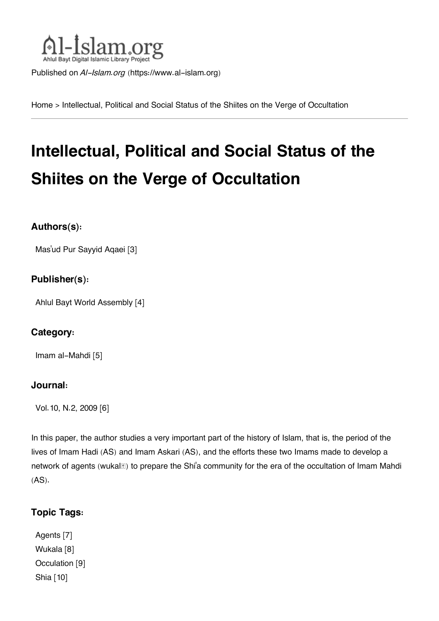

Published on *Al-Islam.org* ([https://www.al-islam.org\)](https://www.al-islam.org)

[Home](https://www.al-islam.org/) > Intellectual, Political and Social Status of the Shiites on the Verge of Occultation

# **Intellectual, Political and Social Status of the Shiites on the Verge of Occultation**

#### **Authors(s):**

Mas['ud Pur Sayyid Aqaei](https://www.al-islam.org/person/masud-pur-sayyid-aqaei) [3]

#### **Publisher(s):**

[Ahlul Bayt World Assembly](https://www.al-islam.org/organization/ahlul-bayt-world-assembly) [4]

#### **Category:**

[Imam al-Mahdi](https://www.al-islam.org/library/imam-al-mahdi) [5]

#### **Journal:**

[Vol.10, N.2, 2009](https://www.al-islam.org/journals/vol10-n2-2009) [6]

In this paper, the author studies a very important part of the history of Islam, that is, the period of the lives of Imam Hadi (AS) and Imam Askari (AS), and the efforts these two Imams made to develop a network of agents (wukal**III)** to prepare the Shi<sup>'</sup>a community for the era of the occultation of Imam Mahdi (AS).

#### **Topic Tags:**

[Agents](https://www.al-islam.org/tags/agents) [7] [Wukala](https://www.al-islam.org/tags/wukala) [8] [Occulation](https://www.al-islam.org/tags/occulation) [9] [Shia](https://www.al-islam.org/tags/shia) [10]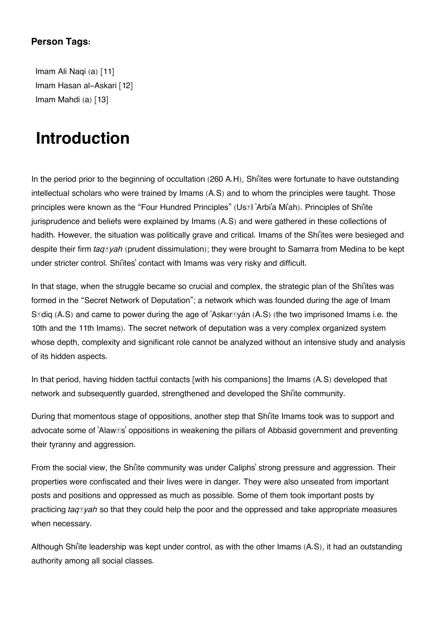#### **Person Tags:**

[Imam Ali Naqi \(a\)](https://www.al-islam.org/person/imam-ali-naqi) [11] [Imam Hasan al-Askari](https://www.al-islam.org/person/imam-hasan-al-askari) [12] [Imam Mahdi \(a\)](https://www.al-islam.org/person/imam-al-mahdi) [13]

## **Introduction**

In the period prior to the beginning of occultation (260 A.H), Shi'ites were fortunate to have outstanding intellectual scholars who were trained by Imams (A.S) and to whom the principles were taught. Those principles were known as the "Four Hundred Principles" (Usūl 'Arbi'a Mi'ah). Principles of Shi'ite jurisprudence and beliefs were explained by Imams (A.S) and were gathered in these collections of hadith. However, the situation was politically grave and critical. Imams of the Shi'ites were besieged and despite their firm *taqīyah* (prudent dissimulation); they were brought to Samarra from Medina to be kept under stricter control. Shi'ites' contact with Imams was very risky and difficult.

In that stage, when the struggle became so crucial and complex, the strategic plan of the Shi'ites was formed in the "Secret Network of Deputation"; a network which was founded during the age of Imam S**Edig (A.S)** and came to power during the age of 'Askar**Elyán (A.S)** (the two imprisoned Imams i.e. the 10th and the 11th Imams). The secret network of deputation was a very complex organized system whose depth, complexity and significant role cannot be analyzed without an intensive study and analysis of its hidden aspects.

In that period, having hidden tactful contacts [with his companions] the Imams (A.S) developed that network and subsequently guarded, strengthened and developed the Shi'ite community.

During that momentous stage of oppositions, another step that Shi'ite Imams took was to support and advocate some of 'Alaw**Es' oppositions in weakening the pillars** of Abbasid government and preventing their tyranny and aggression.

From the social view, the Shi'ite community was under Caliphs' strong pressure and aggression. Their properties were confiscated and their lives were in danger. They were also unseated from important posts and positions and oppressed as much as possible. Some of them took important posts by practicing *taqīyah* so that they could help the poor and the oppressed and take appropriate measures when necessary.

Although Shi'ite leadership was kept under control, as with the other Imams (A.S), it had an outstanding authority among all social classes.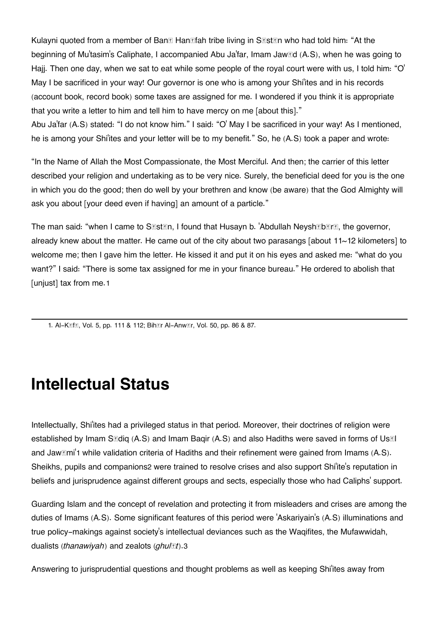Kulayni quoted from a member of Ban $\text{Haar}$  **Han** $\text{fa}$ h tribe living in S**EstEn** who had told him: "At the beginning of Mu'tasim's Caliphate, I accompanied Abu Ja'far, Imam Jawād (A.S), when he was going to Hajj. Then one day, when we sat to eat while some people of the royal court were with us, I told him: "O' May I be sacrificed in your way! Our governor is one who is among your Shi'ites and in his records (account book, record book) some taxes are assigned for me. I wondered if you think it is appropriate that you write a letter to him and tell him to have mercy on me [about this]."

Abu Ja'far (A.S) stated: "I do not know him." I said: "O' May I be sacrificed in your way! As I mentioned, he is among your Shi'ites and your letter will be to my benefit." So, he (A.S) took a paper and wrote:

"In the Name of Allah the Most Compassionate, the Most Merciful. And then; the carrier of this letter described your religion and undertaking as to be very nice. Surely, the beneficial deed for you is the one in which you do the good; then do well by your brethren and know (be aware) that the God Almighty will ask you about [your deed even if having] an amount of a particle."

<span id="page-2-1"></span>The man said: "when I came to S**Esten, I found that Husayn b.** 'Abdullah Neysh**EbErE, the governor**, already knew about the matter. He came out of the city about two parasangs [about 11~12 kilometers] to welcome me; then I gave him the letter. He kissed it and put it on his eyes and asked me: "what do you want?" I said: "There is some tax assigned for me in your finance bureau." He ordered to abolish that [unjust] tax from me.[1](#page-2-0)

<span id="page-2-0"></span>[1.](#page-2-1) Al-Kāfī, Vol. 5, pp. 111 & 112; Bihār Al-Anwār, Vol. 50, pp. 86 & 87.

## **Intellectual Status**

<span id="page-2-3"></span><span id="page-2-2"></span>Intellectually, Shi'ites had a privileged status in that period. Moreover, their doctrines of religion were established by Imam S**Ediq (A.S) and Imam Bagir (A.S) and also Hadiths were saved in forms of Us** and Jawāmi'[1](#page-3-0) while validation criteria of Hadiths and their refinement were gained from Imams (A.S). Sheikhs, pupils and companions[2](#page-3-1) were trained to resolve crises and also support Shi'ite's reputation in beliefs and jurisprudence against different groups and sects, especially those who had Caliphs' support.

Guarding Islam and the concept of revelation and protecting it from misleaders and crises are among the duties of Imams (A.S). Some significant features of this period were 'Askariyain's (A.S) illuminations and true policy-makings against society's intellectual deviances such as the Waqifites, the Mufawwidah, dualists (*thanawiyah*) and zealots (*ghulāt*).[3](#page-4-0)

<span id="page-2-4"></span>Answering to jurisprudential questions and thought problems as well as keeping Shi'ites away from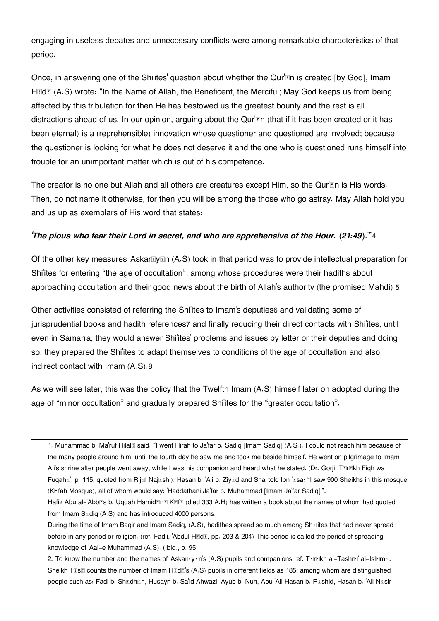engaging in useless debates and unnecessary conflicts were among remarkable characteristics of that period.

Once, in answering one of the Shi'ites' question about whether the Qur'ān is created [by God], Imam Hold (A.S) wrote: "In the Name of Allah, the Beneficent, the Merciful; May God keeps us from being affected by this tribulation for then He has bestowed us the greatest bounty and the rest is all distractions ahead of us. In our opinion, arguing about the Qur'**En** (that if it has been created or it has been eternal) is a (reprehensible) innovation whose questioner and questioned are involved; because the questioner is looking for what he does not deserve it and the one who is questioned runs himself into trouble for an unimportant matter which is out of his competence.

The creator is no one but Allah and all others are creatures except Him, so the Qur'ān is His words. Then, do not name it otherwise, for then you will be among the those who go astray. May Allah hold you and us up as exemplars of His word that states:

#### <span id="page-3-2"></span>*'The pious who fear their Lord in secret, and who are apprehensive of the Hour. (21:49)*.'"[4](#page-4-1)

<span id="page-3-3"></span>Of the other key measures 'Askarīyān (A.S) took in that period was to provide intellectual preparation for Shi'ites for entering "the age of occultation"; among whose procedures were their hadiths about approaching occultation and their good news about the birth of Allah's authority (the promised Mahdi).[5](#page-4-2)

<span id="page-3-5"></span><span id="page-3-4"></span>Other activities consisted of referring the Shi'ites to Imam's deputies[6](#page-4-3) and validating some of jurisprudential books and hadith references[7](#page-4-4) and finally reducing their direct contacts with Shi'ites, until even in Samarra, they would answer Shi'ites' problems and issues by letter or their deputies and doing so, they prepared the Shi'ites to adapt themselves to conditions of the age of occultation and also indirect contact with Imam (A.S).[8](#page-4-5)

<span id="page-3-6"></span>As we will see later, this was the policy that the Twelfth Imam (A.S) himself later on adopted during the age of "minor occultation" and gradually prepared Shi'ites for the "greater occultation".

<span id="page-3-0"></span>[1.](#page-2-2) Muhammad b. Ma'ruf Hilalī said: "I went Hirah to Ja'far b. Sadiq [Imam Sadiq] (A.S.). I could not reach him because of the many people around him, until the fourth day he saw me and took me beside himself. He went on pilgrimage to Imam Ali's shrine after people went away, while I was his companion and heard what he stated. (Dr. Gorji, T**ErEkh Figh wa** Fuqahā', p. 115, quoted from Rijāl Najāshi). Hasan b. 'Ali b. Ziyād and Sha' told Ibn 'Īsa: "I saw 900 Sheikhs in this mosque (Kūfah Mosque), all of whom would say: 'Haddathani Ja'far b. Muhammad [Imam Ja'far Sadiq]'".

<span id="page-3-1"></span>[2.](#page-2-3) To know the number and the names of 'Askar**īdyān's (A.S) pupils and companions ref.** Tūrīkh al-Tashrīd' al-Islām**ī.** Sheikh Tūsī counts the number of Imam Hādī's (A.S) pupils in different fields as 185; among whom are distinguished people such as: Fadl b. Shādhān, Husayn b. Sa'id Ahwazi, Ayub b. Nuh, Abu 'Ali Hasan b. Rāshid, Hasan b. 'Ali Nāsir

Hafiz Abu al-'Abb**Es b. Uqdah HamidEnE KEfE** (died 333 A.H) has written a book about the names of whom had quoted from Imam Sodiq (A.S) and has introduced 4000 persons.

During the time of Imam Baqir and Imam Sadiq, (A.S), hadithes spread so much among Shī'ites that had never spread before in any period or religion. (ref. Fadli, 'Abdul H**IdI, pp. 203 & 204)** This period is called the period of spreading knowledge of 'Aal-e Muhammad (A.S). (Ibid., p. 95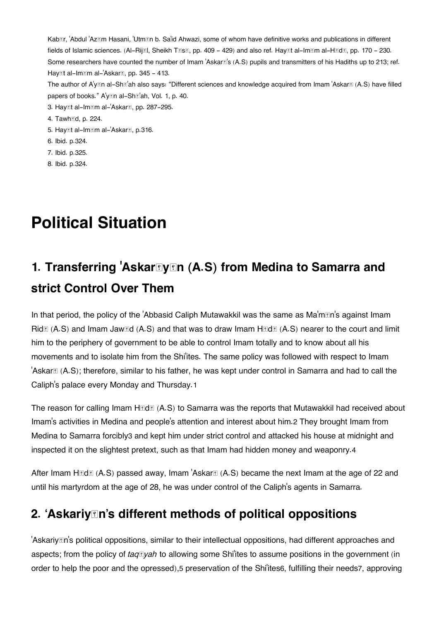<span id="page-4-1"></span><span id="page-4-0"></span>Kab**ūr, 'Abdul 'Az**ūm Hasani, 'Utm**ūn b. Sa'id Ahwazi, some of whom have definitive works and publications in different** fields of Islamic sciences. (Al-Rijūl, Sheikh Tūsū, pp. 409 - 429) and also ref. Hayūt al-Imūm al-Hūdū, pp. 170 - 230. Some researchers have counted the number of Imam 'Askar**I's (A.S)** pupils and transmitters of his Hadiths up to 213; ref. Hayāt al-Imām al-'Askarī, pp. 345 - 413. The author of A'y**<b>En al-ShE**'ah also says: "Different sciences and knowledge acquired from Imam 'Askar**EI** (A.S) have filled papers of books." A'yān al-Shī'ah, Vol. 1, p. 40. [3.](#page-2-4) Hayāt al-Imām al-'Askarī, pp. 287-295. [4.](#page-3-2) Tawhīd, p. 224. [5.](#page-3-3) Hayāt al-Imām al-'Askarī, p.316. [6.](#page-3-4) Ibid. p.324. [7.](#page-3-5) Ibid. p.325. [8.](#page-3-6) Ibid. p.324.

## <span id="page-4-5"></span><span id="page-4-4"></span><span id="page-4-3"></span><span id="page-4-2"></span>**Political Situation**

## <span id="page-4-6"></span>**1. Transferring ['Askarīyān \(A.S\) from Medina to Samarra and](#page-4-6) [strict Control Over Them](#page-4-6)**

In that period, the policy of the 'Abbasid Caliph Mutawakkil was the same as Ma'm*n***'s against Imam**  $RidE$  (A.S) and Imam Jaw $Edd$  (A.S) and that was to draw Imam H $EddE$  (A.S) nearer to the court and limit him to the periphery of government to be able to control Imam totally and to know about all his movements and to isolate him from the Shi'ites. The same policy was followed with respect to Imam 'Askarī (A.S); therefore, similar to his father, he was kept under control in Samarra and had to call the Caliph's palace every Monday and Thursday.[1](#page-6-0)

<span id="page-4-10"></span><span id="page-4-9"></span><span id="page-4-8"></span>The reason for calling Imam H**EdE (A.S)** to Samarra was the reports that Mutawakkil had received about Imam's activities in Medina and people's attention and interest about him.[2](#page-6-1) They brought Imam from Medina to Samarra forcibly[3](#page-6-2) and kept him under strict control and attacked his house at midnight and inspected it on the slightest pretext, such as that Imam had hidden money and weaponry.[4](#page-6-3)

<span id="page-4-11"></span>After Imam H**EdE** (A.S) passed away, Imam 'Askar**E** (A.S) became the next Imam at the age of 22 and until his martyrdom at the age of 28, he was under control of the Caliph's agents in Samarra.

### <span id="page-4-7"></span>**[2. 'Askariyān's different methods of political oppositions](#page-4-7)**

<span id="page-4-13"></span><span id="page-4-12"></span>'Askariyān's political oppositions, similar to their intellectual oppositions, had different approaches and aspects; from the policy of *taqīyah* to allowing some Shi'ites to assume positions in the government (in order to help the poor and the opressed),[5](#page-6-4) preservation of the Shi'ites[6](#page-6-5), fulfilling their needs[7](#page-6-6), approving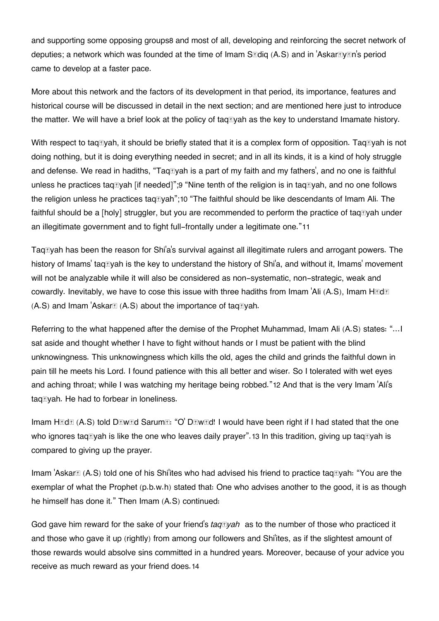and supporting some opposing groups[8](#page-6-7) and most of all, developing and reinforcing the secret network of deputies; a network which was founded at the time of Imam S*Ediq* (A.S) and in 'Askar*ElyEn's* period came to develop at a faster pace.

More about this network and the factors of its development in that period, its importance, features and historical course will be discussed in detail in the next section; and are mentioned here just to introduce the matter. We will have a brief look at the policy of taqīyah as the key to understand Imamate history.

<span id="page-5-1"></span><span id="page-5-0"></span>With respect to tag**ovah, it should be briefly stated that it is a complex form of opposition.** Tag**ovah is not** doing nothing, but it is doing everything needed in secret; and in all its kinds, it is a kind of holy struggle and defense. We read in hadiths, "Taqīyah is a part of my faith and my fathers', and no one is faithful unless he practices taq**<b>ovah [if needed]**";[9](#page-6-8) "Nine tenth of the religion is in taq**ovah**, and no one follows the religion unless he practices taqīyah";[10](#page-6-9) "The faithful should be like descendants of Imam Ali. The faithful should be a [holy] struggler, but you are recommended to perform the practice of tag**rivah** under an illegitimate government and to fight full-frontally under a legitimate one."[11](#page-6-10)

<span id="page-5-2"></span>Taqīyah has been the reason for Shi'a's survival against all illegitimate rulers and arrogant powers. The history of Imams' tag**o**yah is the key to understand the history of Shi'a, and without it, Imams' movement will not be analyzable while it will also be considered as non-systematic, non-strategic, weak and cowardly. Inevitably, we have to cose this issue with three hadiths from Imam  $\overline{\text{A}}$ li (A.S), Imam H $\overline{\text{B}}$ d $\overline{\text{B}}$  $(A.S)$  and Imam  $'$ Askar $I(A.S)$  about the importance of tag*vah*.

Referring to the what happened after the demise of the Prophet Muhammad, Imam Ali (A.S) states: "…I sat aside and thought whether I have to fight without hands or I must be patient with the blind unknowingness. This unknowingness which kills the old, ages the child and grinds the faithful down in pain till he meets his Lord. I found patience with this all better and wiser. So I tolerated with wet eyes and aching throat; while I was watching my heritage being robbed."[12](#page-6-11) And that is the very Imam 'Ali's taqīyah. He had to forbear in loneliness.

<span id="page-5-4"></span><span id="page-5-3"></span>Imam H*d* (A.S) told D**EWEd Sarum**<sub>E</sub>: "O' D**EWEd!** I would have been right if I had stated that the one who ignores taq**<b>Eyah is like the one who leaves daily** prayer". [13](#page-6-12) In this tradition, giving up taq**Eyah** is compared to giving up the prayer.

Imam  $\Delta$ skar $\Omega$  (A.S) told one of his Shi<sup>'</sup>ites who had advised his friend to practice taq**<b>** $\Omega$ <sub>l</sub> expansion the exemplar of what the Prophet (p.b.w.h) stated that: One who advises another to the good, it is as though he himself has done it." Then Imam (A.S) continued:

<span id="page-5-5"></span>God gave him reward for the sake of your friend's *taqīyah* as to the number of those who practiced it and those who gave it up (rightly) from among our followers and Shi'ites, as if the slightest amount of those rewards would absolve sins committed in a hundred years. Moreover, because of your advice you receive as much reward as your friend does.[14](#page-6-13)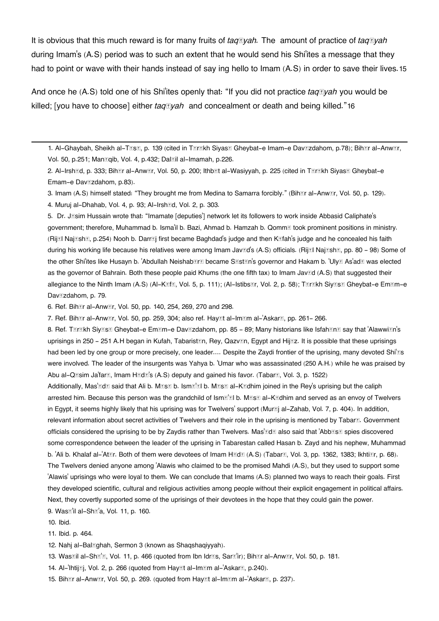<span id="page-6-16"></span>It is obvious that this much reward is for many fruits of *taqīyah.* The amount of practice of *taqīyah* during Imam's (A.S) period was to such an extent that he would send his Shi'ites a message that they had to point or wave with their hands instead of say ing hello to Imam (A.S) in order to save their lives.[15](#page-6-14)

<span id="page-6-17"></span>And once he (A.S) told one of his Shi'ites openly that: "If you did not practice *taqīyah* you would be killed; [you have to choose] either *taqīyah* and concealment or death and being killed."[16](#page-6-15)

<span id="page-6-0"></span>[1.](#page-4-8) Al-Ghaybah, Sheikh al-T**ūsū, p. 139 (cited in Tūrūkh Siyasū** Gheybat-e Imam-e Dav**ūzdahom, p.78)**; Bihūr al-Anwūr, Vol. 50, p.251; Manāqib, Vol. 4, p.432; Dalāil al-Imamah, p.226.

<span id="page-6-1"></span>[2.](#page-4-9) Al-Irshād, p. 333; Bihār al-Anwār, Vol. 50, p. 200; Ithbāt al-Wasiyyah, p. 225 (cited in Tārīkh Siyasī Gheybat-e Emam-e Dav**<b>zdahom**, p.83).

<span id="page-6-2"></span>[3.](#page-4-10) Imam (A.S) himself stated: "They brought me from Medina to Samarra forcibly." (Bih**er al-Anw**er, Vol. 50, p. 129).

<span id="page-6-3"></span>[4.](#page-4-11) Muruj al-Dhahab, Vol. 4, p. 93; Al-Irshād, Vol. 2, p. 303.

<span id="page-6-4"></span>[5.](#page-4-12) Dr. Jāsim Hussain wrote that: "Imamate [deputies'] network let its followers to work inside Abbasid Caliphate's government; therefore, Muhammad b. Isma'il b. Bazi, Ahmad b. Hamzah b. Qommī took prominent positions in ministry. (Rijāl Najāshī, p.254) Nooh b. Darrāj first became Baghdad's judge and then Kūfah's judge and he concealed his faith during his working life because his relatives were among Imam Jav**<b>Ed's (A.S)** officials. (Rij**el Naj**esh**e, pp. 80** - 98) Some of the other Shi'ites like Husayn b. 'Abdullah Neishabūrū became Sustūn's governor and Hakam b. 'Ulyū As'adū was elected as the governor of Bahrain. Both these people paid Khums (the one fifth tax) to Imam Jav*Id (A.S)* that suggested their allegiance to the Ninth Imam (A.S) (Al-K**ef**ri, Vol. 5, p. 111); (Al-Istibs**er, Vol. 2, p. 58)**; Terrekh Siyasa Gheybat-e Emam-e Davrzdahom, p. 79.

<span id="page-6-5"></span>[6.](#page-4-12) Ref. Bihār al-Anwār, Vol. 50, pp. 140, 254, 269, 270 and 298.

<span id="page-6-6"></span>[7.](#page-4-12) Ref. Bihār al-Anwār, Vol. 50, pp. 259, 304; also ref. Hayāt al-Imām al-'Askarī, pp. 261- 266.

<span id="page-6-7"></span>[8.](#page-4-13) Ref. Tririkh Siyasa Gheybat-e Emam-e Davazdahom, pp. 85 - 89; Many historians like Isfahana say that 'Alawwian's uprisings in 250 - 251 A.H began in Kufah, Tabarist**En, Rey, Qazv**En, Egypt and HijEz. It is possible that these uprisings had been led by one group or more precisely, one leader.... Despite the Zaydi frontier of the uprising, many devoted Shi<sup>'</sup> were involved. The leader of the insurgents was Yahya b. 'Umar who was assassinated (250 A.H.) while he was praised by Abu al-Qāsim Ja'farī, Imam Hādī's (A.S) deputy and gained his favor. (Tabarī, Vol. 3, p. 1522)

Additionally, Mas'ūdī said that Ali b. Mūsā b. Ismā'īl b. Mūsā al-Kādhim joined in the Rey's uprising but the caliph arrested him. Because this person was the grandchild of Isma<sup>r</sup>al b. Masa al-Kadhim and served as an envoy of Twelvers in Egypt, it seems highly likely that his uprising was for Twelvers' support (Murūj al-Zahab, Vol. 7, p. 404). In addition, relevant information about secret activities of Twelvers and their role in the uprising is mentioned by Tabarī. Government officials considered the uprising to be by Zaydis rather than Twelvers. Mas'ūdī also said that 'Abbāsī spies discovered some correspondence between the leader of the uprising in Tabarestan called Hasan b. Zayd and his nephew, Muhammad b. 'Ali b. Khalaf al-'Atār. Both of them were devotees of Imam Hādī (A.S) (Tabarī, Vol. 3, pp. 1362, 1383; Ikhtiār, p. 68). The Twelvers denied anyone among 'Alawis who claimed to be the promised Mahdi (A.S), but they used to support some 'Alawis' uprisings who were loyal to them. We can conclude that Imams (A.S) planned two ways to reach their goals. First they developed scientific, cultural and religious activities among people without their explicit engagement in political affairs. Next, they covertly supported some of the uprisings of their devotees in the hope that they could gain the power. [9.](#page-5-0) Wasā'il al-Shī'a, Vol. 11, p. 160.

<span id="page-6-9"></span><span id="page-6-8"></span>[10.](#page-5-1) Ibid.

<span id="page-6-10"></span>[11.](#page-5-2) Ibid. p. 464.

<span id="page-6-11"></span>[12.](#page-5-3) Nahj al-Balāghah, Sermon 3 (known as Shaqshaqiyyah).

<span id="page-6-12"></span>[13.](#page-5-4) Wasāil al-Shī'ā, Vol. 11, p. 466 (quoted from Ibn Idrīs, Sarā'ir); Bihār al-Anwār, Vol. 50, p. 181.

<span id="page-6-13"></span>[14.](#page-5-5) Al-'Ihtij**ii**, Vol. 2, p. 266 (quoted from Hay**rit al-Imxim al-'Askarii**, p.240).

<span id="page-6-15"></span><span id="page-6-14"></span>[15.](#page-6-16) Bihtir al-Anwar, Vol. 50, p. 269. (quoted from Hayat al-Imam al-'Askara, p. 237).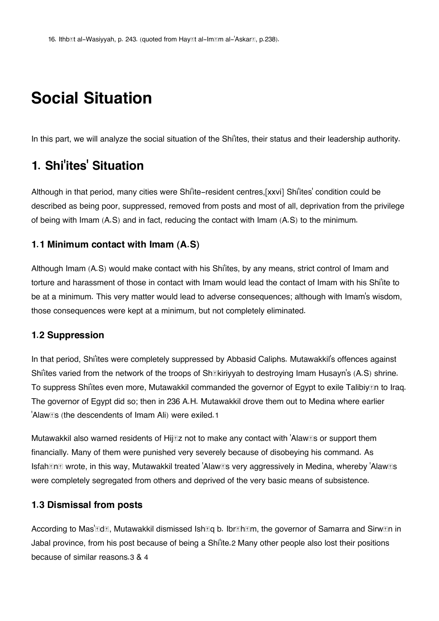## **Social Situation**

In this part, we will analyze the social situation of the Shi'ites, their status and their leadership authority.

### <span id="page-7-0"></span>**1. Shi['ites' Situation](#page-7-0)**

Although in that period, many cities were Shi'ite-resident centres,[xxvi] Shi'ites' condition could be described as being poor, suppressed, removed from posts and most of all, deprivation from the privilege of being with Imam (A.S) and in fact, reducing the contact with Imam (A.S) to the minimum.

#### <span id="page-7-1"></span>**[1.1 Minimum contact with Imam \(A.S\)](#page-7-1)**

Although Imam (A.S) would make contact with his Shi'ites, by any means, strict control of Imam and torture and harassment of those in contact with Imam would lead the contact of Imam with his Shi'ite to be at a minimum. This very matter would lead to adverse consequences; although with Imam's wisdom, those consequences were kept at a minimum, but not completely eliminated.

#### <span id="page-7-2"></span>**[1.2 Suppression](#page-7-2)**

In that period, Shi'ites were completely suppressed by Abbasid Caliphs. Mutawakkil's offences against Shi'ites varied from the network of the troops of Sh**Ekiriyyah to destroying Imam Husayn's (A.S)** shrine. To suppress Shi'ites even more, Mutawakkil commanded the governor of Egypt to exile Talibiyūn to Iraq. The governor of Egypt did so; then in 236 A.H. Mutawakkil drove them out to Medina where earlier 'Alawīs (the descendents of Imam Ali) were exiled.[1](#page-13-0)

<span id="page-7-5"></span>Mutawakkil also warned residents of Hij**ez not to make any contact with 'Alaw**es or support them financially. Many of them were punished very severely because of disobeying his command. As Isfah**<b>EnE** wrote, in this way, Mutawakkil treated 'Alaw**Es very aggressively in Medina, whereby** 'AlawEs' were completely segregated from others and deprived of the very basic means of subsistence.

#### <span id="page-7-3"></span>**[1.3 Dismissal from posts](#page-7-3)**

<span id="page-7-7"></span><span id="page-7-6"></span><span id="page-7-4"></span>According to Mas<sup>'</sup>*EdE*, Mutawakkil dismissed Ish**Eq b. IbrEhEm**, the governor of Samarra and Sirw**En** in Jabal province, from his post because of being a Shi'ite.[2](#page-13-1) Many other people also lost their positions because of similar reasons.[3](#page-13-2) & [4](#page-13-3)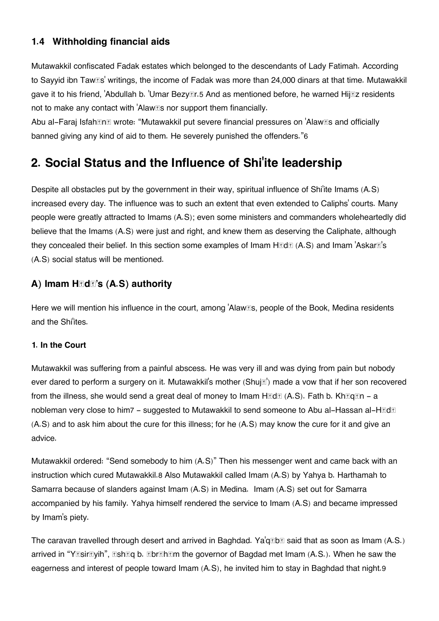#### **[1.4 Withholding financial aids](#page-7-4)**

<span id="page-8-3"></span>Mutawakkil confiscated Fadak estates which belonged to the descendants of Lady Fatimah. According to Sayyid ibn Tawūs' writings, the income of Fadak was more than 24,000 dinars at that time. Mutawakkil gave it to his friend, 'Abdullah b. 'Umar Bezyār.[5](#page-13-4) And as mentioned before, he warned Hijāz residents not to make any contact with 'Alaw**E's nor support them financially**.

<span id="page-8-4"></span>Abu al-Faraj Isfah**EnE** wrote: "Mutawakkil put severe financial pressures on 'Alaw**Es** and officially banned giving any kind of aid to them. He severely punished the offenders."[6](#page-13-5)

### <span id="page-8-0"></span>**[2. Social Status and the Influence of Shi](#page-8-0)'ite leadership**

Despite all obstacles put by the government in their way, spiritual influence of Shi'ite Imams (A.S) increased every day. The influence was to such an extent that even extended to Caliphs' courts. Many people were greatly attracted to Imams (A.S); even some ministers and commanders wholeheartedly did believe that the Imams (A.S) were just and right, and knew them as deserving the Caliphate, although they concealed their belief. In this section some examples of Imam H $\text{Id}$  (A.S) and Imam 'Askar $\text{F}$ 's (A.S) social status will be mentioned.

### <span id="page-8-1"></span>**A) Imam H<br>
Edis (A.S) authority**

Here we will mention his influence in the court, among 'Alaw**<b>Elsac**, people of the Book, Medina residents and the Shi'ites.

#### <span id="page-8-2"></span>**[1. In the Court](#page-8-2)**

<span id="page-8-5"></span>Mutawakkil was suffering from a painful abscess. He was very ill and was dying from pain but nobody ever dared to perform a surgery on it. Mutawakkil's mother (Shujā') made a vow that if her son recovered from the illness, she would send a great deal of money to Imam H $\text{Id}$  $\text{I}$  (A.S). Fath b. Kh $\text{I}$ q $\text{I}$ n – a nobleman very close to him[7](#page-13-6) - suggested to Mutawakkil to send someone to Abu al-Hassan al-H**ad** (A.S) and to ask him about the cure for this illness; for he (A.S) may know the cure for it and give an advice.

<span id="page-8-6"></span>Mutawakkil ordered: "Send somebody to him (A.S)" Then his messenger went and came back with an instruction which cured Mutawakkil.[8](#page-13-7) Also Mutawakkil called Imam (A.S) by Yahya b. Harthamah to Samarra because of slanders against Imam (A.S) in Medina. Imam (A.S) set out for Samarra accompanied by his family. Yahya himself rendered the service to Imam (A.S) and became impressed by Imam's piety.

<span id="page-8-7"></span>The caravan travelled through desert and arrived in Baghdad. Ya'q $\mathbb{R}$ b**ing said that as soon as Imam (A.S.)** arrived in "Y**EsirEyih", EshEq b. EbrEhEm the governor** of Bagdad met Imam (A.S.). When he saw the eagerness and interest of people toward Imam (A.S), he invited him to stay in Baghdad that night.[9](#page-13-8)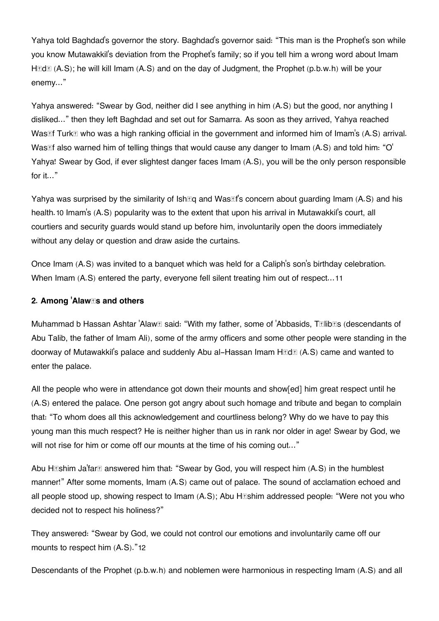Yahya told Baghdad's governor the story. Baghdad's governor said: "This man is the Prophet's son while you know Mutawakkil's deviation from the Prophet's family; so if you tell him a wrong word about Imam Hold (A.S); he will kill Imam (A.S) and on the day of Judgment, the Prophet (p.b.w.h) will be your enemy…"

Yahya answered: "Swear by God, neither did I see anything in him (A.S) but the good, nor anything I disliked…" then they left Baghdad and set out for Samarra. As soon as they arrived, Yahya reached Was If Turk II who was a high ranking official in the government and informed him of Imam's (A.S) arrival. Wasīf also warned him of telling things that would cause any danger to Imam (A.S) and told him: "O' Yahya! Swear by God, if ever slightest danger faces Imam (A.S), you will be the only person responsible for it…"

<span id="page-9-1"></span>Yahya was surprised by the similarity of  $\text{Ish}\boxdot q$  and Was $\text{If}$ 's concern about quarding Imam (A.S) and his health.[10](#page-13-9) Imam's (A.S) popularity was to the extent that upon his arrival in Mutawakkil's court, all courtiers and security guards would stand up before him, involuntarily open the doors immediately without any delay or question and draw aside the curtains.

<span id="page-9-2"></span>Once Imam (A.S) was invited to a banquet which was held for a Caliph's son's birthday celebration. When Imam (A.S) entered the party, everyone fell silent treating him out of respect…[11](#page-13-10)

#### <span id="page-9-0"></span>**2. Among ['Alawīs and others](#page-9-0)**

Muhammad b Hassan Ashtar 'Alaw**<b>n** said: "With my father, some of 'Abbasids, The libing (descendants of Abu Talib, the father of Imam Ali), some of the army officers and some other people were standing in the doorway of Mutawakkil's palace and suddenly Abu al-Hassan Imam H**EdE** (A.S) came and wanted to enter the palace.

All the people who were in attendance got down their mounts and show[ed] him great respect until he (A.S) entered the palace. One person got angry about such homage and tribute and began to complain that: "To whom does all this acknowledgement and courtliness belong? Why do we have to pay this young man this much respect? He is neither higher than us in rank nor older in age! Swear by God, we will not rise for him or come off our mounts at the time of his coming out..."

Abu H**Eshim Ja'farE** answered him that: "Swear by God, you will respect him (A.S) in the humblest manner!" After some moments, Imam (A.S) came out of palace. The sound of acclamation echoed and all people stood up, showing respect to Imam  $(A.S)$ ; Abu H $\mathbb{E}$ shim addressed people: "Were not you who decided not to respect his holiness?"

<span id="page-9-3"></span>They answered: "Swear by God, we could not control our emotions and involuntarily came off our mounts to respect him (A.S)."[12](#page-13-11)

Descendants of the Prophet (p.b.w.h) and noblemen were harmonious in respecting Imam (A.S) and all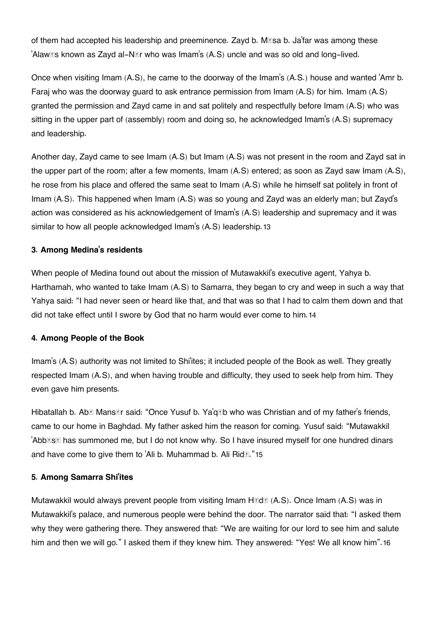of them had accepted his leadership and preeminence. Zayd b. Mūsa b. Ja'far was among these 'Alawīs known as Zayd al-Nār who was Imam's (A.S) uncle and was so old and long-lived.

Once when visiting Imam (A.S), he came to the doorway of the Imam's (A.S.) house and wanted 'Amr b. Faraj who was the doorway guard to ask entrance permission from Imam (A.S) for him. Imam (A.S) granted the permission and Zayd came in and sat politely and respectfully before Imam (A.S) who was sitting in the upper part of (assembly) room and doing so, he acknowledged Imam's (A.S) supremacy and leadership.

Another day, Zayd came to see Imam (A.S) but Imam (A.S) was not present in the room and Zayd sat in the upper part of the room; after a few moments, Imam (A.S) entered; as soon as Zayd saw Imam (A.S), he rose from his place and offered the same seat to Imam (A.S) while he himself sat politely in front of Imam (A.S). This happened when Imam (A.S) was so young and Zayd was an elderly man; but Zayd's action was considered as his acknowledgement of Imam's (A.S) leadership and supremacy and it was similar to how all people acknowledged Imam's (A.S) leadership.[13](#page-13-12)

#### <span id="page-10-4"></span><span id="page-10-0"></span>**[3. Among Medina](#page-10-0)'s residents**

When people of Medina found out about the mission of Mutawakkil's executive agent, Yahya b. Harthamah, who wanted to take Imam (A.S) to Samarra, they began to cry and weep in such a way that Yahya said: "I had never seen or heard like that, and that was so that I had to calm them down and that did not take effect until I swore by God that no harm would ever come to him.[14](#page-13-13)

#### <span id="page-10-5"></span><span id="page-10-1"></span>**[4. Among People of the Book](#page-10-1)**

Imam's (A.S) authority was not limited to Shi'ites; it included people of the Book as well. They greatly respected Imam (A.S), and when having trouble and difficulty, they used to seek help from him. They even gave him presents.

Hibatallah b. Ab**I** Mans**I**r said: "Once Yusuf b. Ya'q**IIb who was Christian and of my father's** friends, came to our home in Baghdad. My father asked him the reason for coming. Yusuf said: "Mutawakkil 'Abbāsī has summoned me, but I do not know why. So I have insured myself for one hundred dinars and have come to give them to 'Ali b. Muhammad b. Ali Rid $E$ ."[15](#page-13-14)

#### <span id="page-10-6"></span><span id="page-10-2"></span>**[5. Among Samarra Shi](#page-10-2)'ites**

<span id="page-10-7"></span><span id="page-10-3"></span>Mutawakkil would always prevent people from visiting Imam  $H \Box \Delta E$  (A.S). Once Imam (A.S) was in Mutawakkil's palace, and numerous people were behind the door. The narrator said that: "I asked them why they were gathering there. They answered that: "We are waiting for our lord to see him and salute him and then we will go." I asked them if they knew him. They answered: "Yes! We all know him".[16](#page-14-0)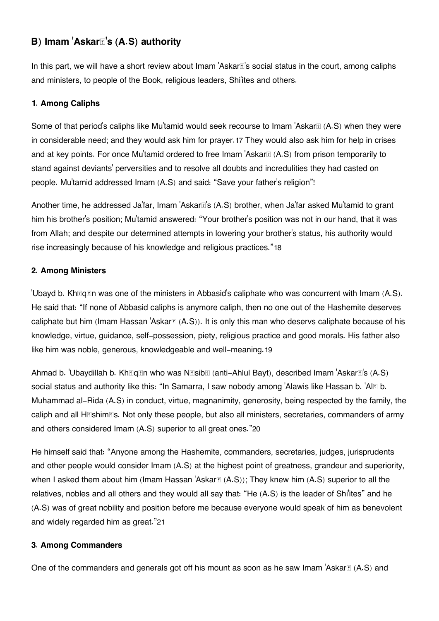### **B) Imam ['Askarī's \(A.S\) authority](#page-10-3)**

In this part, we will have a short review about Imam 'Askar**s's social status in the court, among caliphs** and ministers, to people of the Book, religious leaders, Shi'ites and others.

#### <span id="page-11-0"></span>**[1. Among Caliphs](#page-11-0)**

<span id="page-11-3"></span>Some of that period's caliphs like Mu'tamid would seek recourse to Imam 'Askarī (A.S) when they were in considerable need; and they would ask him for prayer.[17](#page-14-1) They would also ask him for help in crises and at key points. For once Mu'tamid ordered to free Imam 'Askar**II** (A.S) from prison temporarily to stand against deviants' perversities and to resolve all doubts and incredulities they had casted on people. Mu'tamid addressed Imam (A.S) and said: "Save your father's religion"!

Another time, he addressed Ja'far, Imam 'Askar**E's (A.S)** brother, when Ja'far asked Mu'tamid to grant him his brother's position; Mu'tamid answered: "Your brother's position was not in our hand, that it was from Allah; and despite our determined attempts in lowering your brother's status, his authority would rise increasingly because of his knowledge and religious practices."[18](#page-14-2)

#### <span id="page-11-4"></span><span id="page-11-1"></span>**[2. Among Ministers](#page-11-1)**

'Ubayd b. Khāqān was one of the ministers in Abbasid's caliphate who was concurrent with Imam (A.S). He said that: "If none of Abbasid caliphs is anymore caliph, then no one out of the Hashemite deserves caliphate but him (Imam Hassan  $'$ Askar $\mathbb{E} (A.S)$ ). It is only this man who deservs caliphate because of his knowledge, virtue, guidance, self-possession, piety, religious practice and good morals. His father also like him was noble, generous, knowledgeable and well-meaning.[19](#page-14-3)

<span id="page-11-5"></span>Ahmad b. 'Ubaydillah b. Kh**eqan who was Nasiba (anti-Ahlul Bayt)**, described Imam 'Askar**a's (A.S)** social status and authority like this: "In Samarra, I saw nobody among 'Alawis like Hassan b. 'Al**I** b. Muhammad al-Rida (A.S) in conduct, virtue, magnanimity, generosity, being respected by the family, the caliph and all H**EshimEs.** Not only these people, but also all ministers, secretaries, commanders of army and others considered Imam (A.S) superior to all great ones."[20](#page-14-4)

<span id="page-11-6"></span>He himself said that: "Anyone among the Hashemite, commanders, secretaries, judges, jurisprudents and other people would consider Imam (A.S) at the highest point of greatness, grandeur and superiority, when I asked them about him (Imam Hassan  $'Astar\otimes$ ); They knew him (A.S) superior to all the relatives, nobles and all others and they would all say that: "He (A.S) is the leader of Shi'ites" and he (A.S) was of great nobility and position before me because everyone would speak of him as benevolent and widely regarded him as great."[21](#page-14-5)

#### <span id="page-11-7"></span><span id="page-11-2"></span>**[3. Among Commanders](#page-11-2)**

One of the commanders and generals got off his mount as soon as he saw Imam 'Askarī (A.S) and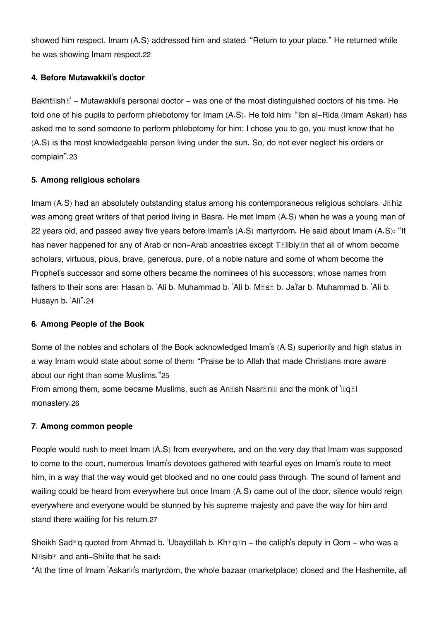<span id="page-12-4"></span>showed him respect. Imam (A.S) addressed him and stated: "Return to your place." He returned while he was showing Imam respect.[22](#page-14-6)

#### <span id="page-12-0"></span>**[4. Before Mutawakkil](#page-12-0)'s doctor**

Bakhtīshū' - Mutawakkil's personal doctor - was one of the most distinguished doctors of his time. He told one of his pupils to perform phlebotomy for Imam (A.S). He told him: "Ibn al-Rida (Imam Askari) has asked me to send someone to perform phlebotomy for him; I chose you to go, you must know that he (A.S) is the most knowledgeable person living under the sun. So, do not ever neglect his orders or complain".[23](#page-14-7)

#### <span id="page-12-5"></span><span id="page-12-1"></span>**[5. Among religious scholars](#page-12-1)**

Imam (A.S) had an absolutely outstanding status among his contemporaneous religious scholars. Jishiz was among great writers of that period living in Basra. He met Imam (A.S) when he was a young man of 22 years old, and passed away five years before Imam's (A.S) martyrdom. He said about Imam (A.S): "It has never happened for any of Arab or non-Arab ancestries except T**Elibiy** In that all of whom become scholars, virtuous, pious, brave, generous, pure, of a noble nature and some of whom become the Prophet's successor and some others became the nominees of his successors; whose names from fathers to their sons are: Hasan b. 'Ali b. Muhammad b. 'Ali b. M**ish b. Ja'far b. Muhammad b.** 'Ali b. Husayn b. 'Ali".[24](#page-14-8)

#### <span id="page-12-6"></span><span id="page-12-2"></span>**[6. Among People of the Book](#page-12-2)**

<span id="page-12-7"></span>Some of the nobles and scholars of the Book acknowledged Imam's (A.S) superiority and high status in a way Imam would state about some of them: "Praise be to Allah that made Christians more aware about our right than some Muslims."[25](#page-14-9) From among them, some became Muslims, such as An $\mathbb{E}$ sh Nasr $\mathbb{E}$ n $\mathbb{E}$  and the monk of  $\mathbb{E}$ q $\mathbb{E}$ l

<span id="page-12-8"></span>monastery.[26](#page-14-10)

#### <span id="page-12-3"></span>**[7. Among common people](#page-12-3)**

People would rush to meet Imam (A.S) from everywhere, and on the very day that Imam was supposed to come to the court, numerous Imam's devotees gathered with tearful eyes on Imam's route to meet him, in a way that the way would get blocked and no one could pass through. The sound of lament and wailing could be heard from everywhere but once Imam (A.S) came out of the door, silence would reign everywhere and everyone would be stunned by his supreme majesty and pave the way for him and stand there waiting for his return.[27](#page-14-11)

<span id="page-12-9"></span>Sheikh Sadūq quoted from Ahmad b. 'Ubaydillah b. Khāqān - the caliph's deputy in Qom - who was a Nāsibī and anti-Shi'ite that he said:

"At the time of Imam 'Askar*s's* martyrdom, the whole bazaar (marketplace) closed and the Hashemite, all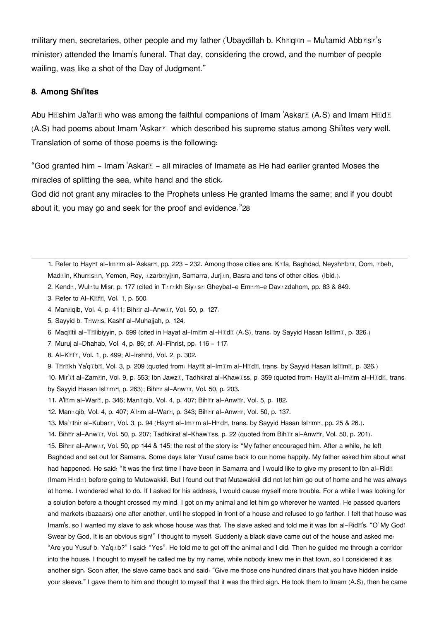military men, secretaries, other people and my father ('Ubaydillah b. Kh**ng**n - Mu'tamid Abbnsn's minister) attended the Imam's funeral. That day, considering the crowd, and the number of people wailing, was like a shot of the Day of Judgment."

#### <span id="page-13-15"></span>**[8. Among Shi](#page-13-15)'ites**

Abu H**Eshim Ja'far**E who was among the faithful companions of Imam 'Askar**E** (A.S) and Imam H**EdE** (A.S) had poems about Imam 'Askarī which described his supreme status among Shi'ites very well. Translation of some of those poems is the following:

"God granted him - Imam  $\Delta s$ kar $\Omega$  - all miracles of Imamate as He had earlier granted Moses the miracles of splitting the sea, white hand and the stick.

<span id="page-13-16"></span>God did not grant any miracles to the Prophets unless He granted Imams the same; and if you doubt about it, you may go and seek for the proof and evidence."[28](#page-14-12)

<span id="page-13-0"></span>[1.](#page-7-5) Refer to Hay**īt al-Imīlm al-**'Askarīl, pp. 223 - 232. Among those cities are: Kīrfa, Baghdad, Neyshīrbūr, Qom, īlbeh, Mad $\bar{a}$ in, Khur $\bar{a}$ s $\bar{a}$ n, Yemen, Rey, **Ezarb** $\bar{a}$ yj $\bar{a}$ n, Samarra, Jurj $\bar{a}$ n, Basra and tens of other cities. (Ibid.).

- <span id="page-13-1"></span>[2.](#page-7-6) Kendī, Wulātu Misr, p. 177 (cited in Tārīkh Siyāsī Gheybat-e Emām-e Davāzdahom, pp. 83 & 849.
- <span id="page-13-2"></span>[3.](#page-7-7) Refer to Al-Kāfī, Vol. 1, p. 500.
- <span id="page-13-3"></span>[4.](#page-7-7) Manāqib, Vol. 4, p. 411; Bihār al-Anwār, Vol. 50, p. 127.
- <span id="page-13-4"></span>[5.](#page-8-3) Sayyid b. Trwrs, Kashf al-Muhajjah, p. 124.
- <span id="page-13-5"></span>[6.](#page-8-4) Maqātil al-Tālibiyyin, p. 599 (cited in Hayat al-Imām al-Hādī (A.S), trans. by Sayyid Hasan Islāmī, p. 326.)
- <span id="page-13-6"></span>[7.](#page-8-5) Muruj al-Dhahab, Vol. 4, p. 86; cf. Al-Fihrist, pp. 116 - 117.
- <span id="page-13-7"></span>[8.](#page-8-6) Al-K*f***E**, Vol. 1, p. 499; Al-Irsh**<b>Ed**, Vol. 2, p. 302.
- [9.](#page-8-7) Trīrūkh Ya'qūbīī, Vol. 3, p. 209 (quoted from: Hayīst al-Imūm al-Hūdū, trans. by Sayyid Hasan Islūmū, p. 326.)

<span id="page-13-9"></span><span id="page-13-8"></span>[10.](#page-9-1) Mir'at al-Zaman, Vol. 9, p. 553; Ibn Jawza, Tadhkirat al-Khawass, p. 359 (quoted from: Hayat al-Imam al-Hada, trans. by Sayyid Hasan Islāmī, p. 263); Bihār al-Anwār, Vol. 50, p. 203.

- <span id="page-13-10"></span>[11.](#page-9-2) A'lām al-Warā, p. 346; Manāqib, Vol. 4, p. 407; Bihār al-Anwār, Vol. 5, p. 182.
- <span id="page-13-11"></span>[12.](#page-9-3) Manāqib, Vol. 4, p. 407; A'lām al-Warā, p. 343; Bihār al-Anwār, Vol. 50, p. 137.

<span id="page-13-12"></span>[13.](#page-10-4) Ma'āthir al-Kubarā, Vol. 3, p. 94 (Hayāt al-Imām al-Hādī, trans. by Sayyid Hasan Islāmī, pp. 25 & 26.).

<span id="page-13-13"></span>[14.](#page-10-5) Bihār al-Anwār, Vol. 50, p. 207; Tadhkirat al-Khawāss, p. 22 (quoted from Bihār al-Anwār, Vol. 50, p. 201).

<span id="page-13-14"></span>[15.](#page-10-6) Bihār al-Anwār, Vol. 50, pp 144 & 145; the rest of the story is: "My father encouraged him. After a while, he left Baghdad and set out for Samarra. Some days later Yusuf came back to our home happily. My father asked him about what had happened. He said: "It was the first time I have been in Samarra and I would like to give my present to Ibn al-Rid $\bar{a}$ (Imam Hādī) before going to Mutawakkil. But I found out that Mutawakkil did not let him go out of home and he was always at home. I wondered what to do. If I asked for his address, I would cause myself more trouble. For a while I was looking for a solution before a thought crossed my mind. I got on my animal and let him go wherever he wanted. He passed quarters and markets (bazaars) one after another, until he stopped in front of a house and refused to go farther. I felt that house was Imam's, so I wanted my slave to ask whose house was that. The slave asked and told me it was Ibn al-Rid*E's.* "O' My God! Swear by God, It is an obvious sign!" I thought to myself. Suddenly a black slave came out of the house and asked me: "Are you Yusuf b. Ya'qūb?" I said: "Yes". He told me to get off the animal and I did. Then he guided me through a corridor into the house. I thought to myself he called me by my name, while nobody knew me in that town, so I considered it as another sign. Soon after, the slave came back and said: "Give me those one hundred dinars that you have hidden inside your sleeve." I gave them to him and thought to myself that it was the third sign. He took them to Imam (A.S), then he came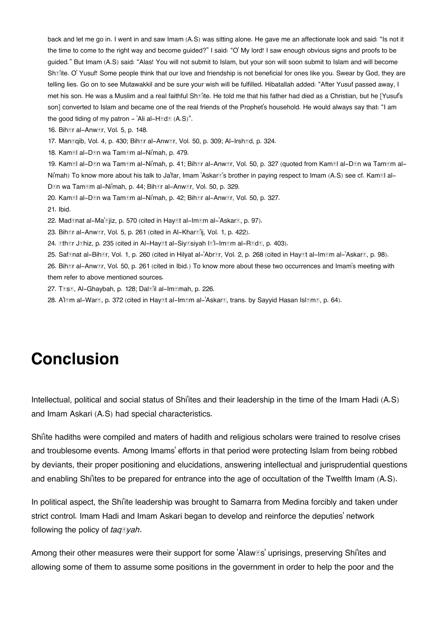back and let me go in. I went in and saw Imam (A.S) was sitting alone. He gave me an affectionate look and said: "Is not it the time to come to the right way and become guided?" I said: "O' My lord! I saw enough obvious signs and proofs to be guided." But Imam (A.S) said: "Alas! You will not submit to Islam, but your son will soon submit to Islam and will become Sh**<b>E**'ite. O' Yusuf! Some people think that our love and friendship is not beneficial for ones like you. Swear by God, they are telling lies. Go on to see Mutawakkil and be sure your wish will be fulfilled. Hibatallah added: "After Yusuf passed away, I met his son. He was a Muslim and a real faithful Shī'ite. He told me that his father had died as a Christian, but he [Yusuf's son] converted to Islam and became one of the real friends of the Prophet's household. He would always say that: "I am the good tiding of my patron  $-$  'Ali al-H $\text{Id}$  $\text{Id}$  (A.S)".

<span id="page-14-0"></span>[16.](#page-10-7) Bihār al-Anwār, Vol. 5, p. 148.

<span id="page-14-1"></span>[17.](#page-11-3) Manāqib, Vol. 4, p. 430; Bihār al-Anwār, Vol. 50, p. 309; Al-Irshād, p. 324.

<span id="page-14-2"></span>[18.](#page-11-4) Kamāl al-Dīn wa Tamām al-Ni'mah, p. 479.

<span id="page-14-3"></span>[19.](#page-11-5) Kam⊠l al-D⊡n wa Tam⊡m al-Ni'mah, p. 41; Bih⊡r al-Anw⊡r, Vol. 50, p. 327 (quoted from Kam⊡l al-D⊡n wa Tam⊡m al-Ni'mah) To know more about his talk to Ja'far, Imam 'Askar**ti's brother in paying respect to Imam (A.S)** see cf. Kam**til al-**Dīn wa Tamām al-Ni'mah, p. 44; Bihār al-Anwār, Vol. 50, p. 329.

<span id="page-14-4"></span>[20.](#page-11-6) Kamāl al-Dīn wa Tamām al-Ni'mah, p. 42; Bihār al-Anwār, Vol. 50, p. 327.

<span id="page-14-5"></span>[21.](#page-11-7) Ibid.

<span id="page-14-6"></span>[22.](#page-12-4) Madrinat al-Ma<sup>'</sup>riiz, p. 570 (cited in Hay**rit al-Im**em al-'Askar**ri, p. 97**).

<span id="page-14-7"></span>[23.](#page-12-5) Bihār al-Anwār, Vol. 5, p. 261 (cited in Al-Kharā'ij, Vol. 1, p. 422).

<span id="page-14-8"></span>[24.](#page-12-6) Ether Jehiz, p. 235 (cited in Al-Hayet al-Siyesiyah le'l-Imam al-Reda, p. 403).

<span id="page-14-9"></span>[25.](#page-12-7) Saf**īnat al-Bihīr, Vol. 1, p. 260 (cited in Hilyat al-'Abrīr, Vol. 2, p. 268 (cited in Hayīt al-Imīm al-'Askarī, p. 98).** 

<span id="page-14-10"></span>[26.](#page-12-8) Bihār al-Anwār, Vol. 50, p. 261 (cited in Ibid.) To know more about these two occurrences and Imam's meeting with them refer to above mentioned sources.

<span id="page-14-11"></span>[27.](#page-12-9) Tūsī, Al-Ghaybah, p. 128; Dalā'il al-Imāmah, p. 226.

<span id="page-14-12"></span>[28.](#page-13-16) A'lam al-Wark, p. 372 (cited in Haykit al-Imkim al-'Askarki, trans. by Sayyid Hasan Islamki, p. 64).

## **Conclusion**

Intellectual, political and social status of Shi'ites and their leadership in the time of the Imam Hadi (A.S) and Imam Askari (A.S) had special characteristics.

Shi'ite hadiths were compiled and maters of hadith and religious scholars were trained to resolve crises and troublesome events. Among Imams' efforts in that period were protecting Islam from being robbed by deviants, their proper positioning and elucidations, answering intellectual and jurisprudential questions and enabling Shi'ites to be prepared for entrance into the age of occultation of the Twelfth Imam (A.S).

In political aspect, the Shi'ite leadership was brought to Samarra from Medina forcibly and taken under strict control. Imam Hadi and Imam Askari began to develop and reinforce the deputies' network following the policy of *taqīyah*.

Among their other measures were their support for some 'Alawīs' uprisings, preserving Shi'ites and allowing some of them to assume some positions in the government in order to help the poor and the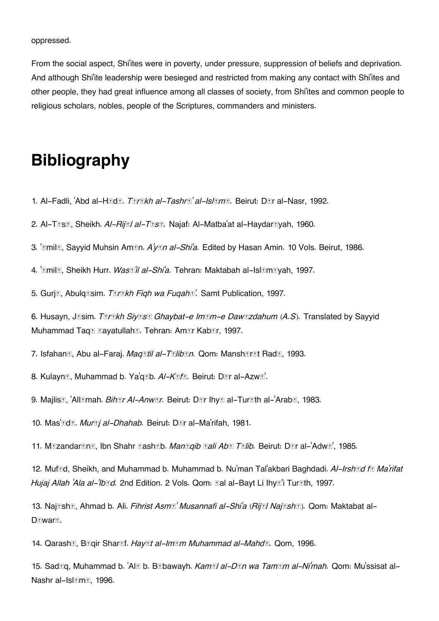#### oppressed.

From the social aspect, Shi'ites were in poverty, under pressure, suppression of beliefs and deprivation. And although Shi'ite leadership were besieged and restricted from making any contact with Shi'ites and other people, they had great influence among all classes of society, from Shi'ites and common people to religious scholars, nobles, people of the Scriptures, commanders and ministers.

### **Bibliography**

1. Al-Fadli, 'Abd al-Hādī. *Tārīkh al-Tashrī' al-Islāmī.* Beirut: Dār al-Nasr, 1992.

2. Al-Tūsī, Sheikh. *Al-Rijāl al-Tūsī.* Najaf: Al-Matba'at al-Haydarīyah, 1960.

3. '**Emil<sub>E</sub>**, Sayyid Muhsin Am**En.** *A'yEn al-Shi'a.* Edited by Hasan Amin. 10 Vols. Beirut, 1986.

4. 'Āmilī, Sheikh Hurr. *Wasā'il al-Shi'a.* Tehran: Maktabah al-Islāmīyah, 1997.

5. Gurjī, Abulqāsim. *Tārīkh Fiqh wa Fuqahā'.* Samt Publication, 1997.

6. Husayn, Jāsim. *Tārīkh Siyāsī Ghaybat-e Imām-e Dawāzdahum (A.S).* Translated by Sayyid Muhammad Taq**r EayatullahE.** Tehran: AmEr KabEr, 1997.

7. Isfahanī, Abu al-Faraj. *Maqātil al-Tālibīn.* Qom: Manshūrāt Radī, 1993.

8. Kulaynī, Muhammad b. Ya'qūb. *Al-Kāfī.* Beirut: Dār al-Azwā'.

9. Majlisī, 'Allāmah. *Bihār Al-Anwār.* Beirut: Dār Ihyā al-Turāth al-'Arabī, 1983.

10. Mas'ūdī. *Murūj al-Dhahab.* Beirut: Dār al-Ma'rifah, 1981.

11. M⊠zandar⊠n⊠, Ibn Shahr ⊠ash⊠b. *Man⊠qib ⊠ali Ab*⊠ *T⊠lib.* Beirut: D⊠r al-'Adw⊠', 1985.

12. Mufīd, Sheikh, and Muhammad b. Muhammad b. Nu'man Tal'akbari Baghdadi. *Al-Irshād fī Ma'rifat Hujaj Allah <sup>'</sup>Ala al-<sup>'</sup>Ibad.* 2nd Edition. 2 Vols. Qom: *alal al-Bayt Li Ihya'i Turath, 1997.* 

13. Najāshī, Ahmad b. Ali. *Fihrist Asmā' Musannafi al-Shi'a (Rijāl Najāshī).* Qom: Maktabat al-Driwar<sub>s</sub>.

14. Qarashī, Bāqir Sharīf. *Hayāt al-Imām Muhammad al-Mahdī.* Qom, 1996.

15. Sadūq, Muhammad b. 'Alī b. Bābawayh. *Kamāl al-Dīn wa Tamām al-Ni'mah.* Qom: Mu'ssisat al-Nashr al-Islāmī, 1996.